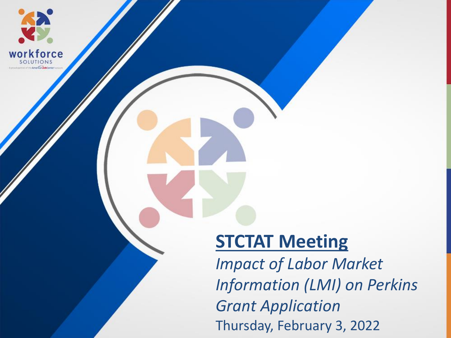

#### **STCTAT Meeting**

*Impact of Labor Market Information (LMI) on Perkins Grant Application* Thursday, February 3, 2022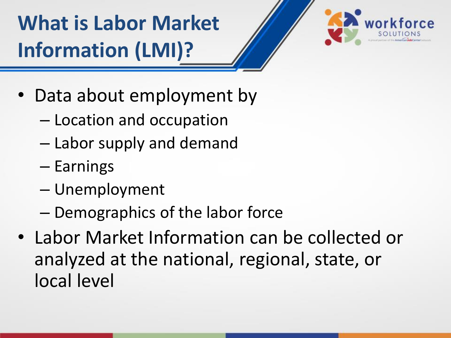**What is Labor Market Information (LMI)?**



- Data about employment by
	- Location and occupation
	- Labor supply and demand
	- Earnings
	- Unemployment
	- Demographics of the labor force
- Labor Market Information can be collected or analyzed at the national, regional, state, or local level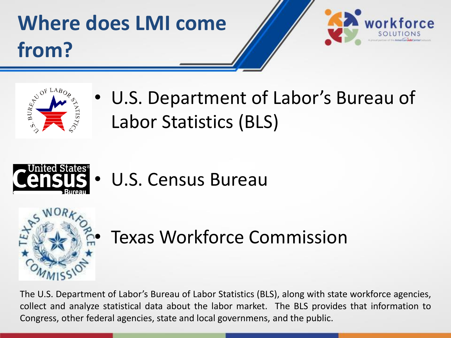# **Where does LMI come from?**





• U.S. Department of Labor's Bureau of Labor Statistics (BLS)



U.S. Census Bureau



Texas Workforce Commission

The U.S. Department of Labor's Bureau of Labor Statistics (BLS), along with state workforce agencies, collect and analyze statistical data about the labor market. The BLS provides that information to Congress, other federal agencies, state and local governmens, and the public.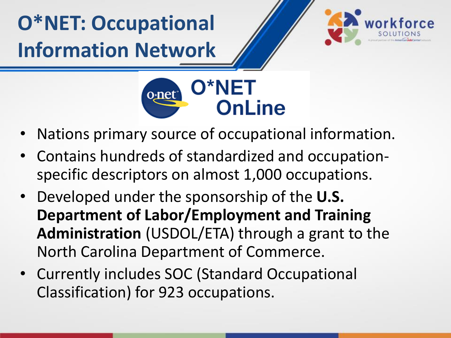**O\*NET: Occupational Information Network**





- Nations primary source of occupational information.
- Contains hundreds of standardized and occupationspecific descriptors on almost 1,000 occupations.
- Developed under the sponsorship of the **U.S. Department of Labor/Employment and Training Administration** (USDOL/ETA) through a grant to the North Carolina Department of Commerce.
- Currently includes SOC (Standard Occupational Classification) for 923 occupations.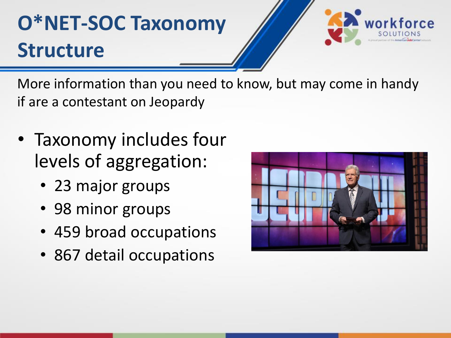## **O\*NET-SOC Taxonomy Structure**



More information than you need to know, but may come in handy if are a contestant on Jeopardy

- Taxonomy includes four levels of aggregation:
	- 23 major groups
	- 98 minor groups
	- 459 broad occupations
	- 867 detail occupations

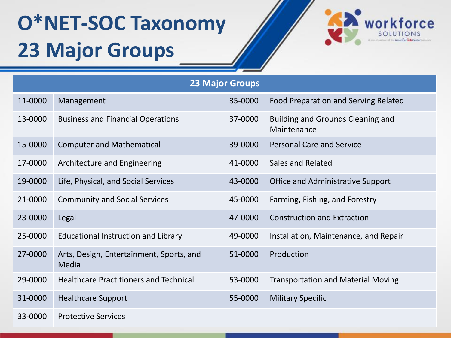### **O\*NET-SOC Taxonomy 23 Major Groups**



| <b>23 Major Groups</b> |                                                   |         |                                                  |
|------------------------|---------------------------------------------------|---------|--------------------------------------------------|
| 11-0000                | Management                                        | 35-0000 | Food Preparation and Serving Related             |
| 13-0000                | <b>Business and Financial Operations</b>          | 37-0000 | Building and Grounds Cleaning and<br>Maintenance |
| 15-0000                | <b>Computer and Mathematical</b>                  | 39-0000 | <b>Personal Care and Service</b>                 |
| 17-0000                | Architecture and Engineering                      | 41-0000 | Sales and Related                                |
| 19-0000                | Life, Physical, and Social Services               | 43-0000 | <b>Office and Administrative Support</b>         |
| 21-0000                | <b>Community and Social Services</b>              | 45-0000 | Farming, Fishing, and Forestry                   |
| 23-0000                | Legal                                             | 47-0000 | <b>Construction and Extraction</b>               |
| 25-0000                | <b>Educational Instruction and Library</b>        | 49-0000 | Installation, Maintenance, and Repair            |
| 27-0000                | Arts, Design, Entertainment, Sports, and<br>Media | 51-0000 | Production                                       |
| 29-0000                | <b>Healthcare Practitioners and Technical</b>     | 53-0000 | <b>Transportation and Material Moving</b>        |
| 31-0000                | <b>Healthcare Support</b>                         | 55-0000 | <b>Military Specific</b>                         |
| 33-0000                | <b>Protective Services</b>                        |         |                                                  |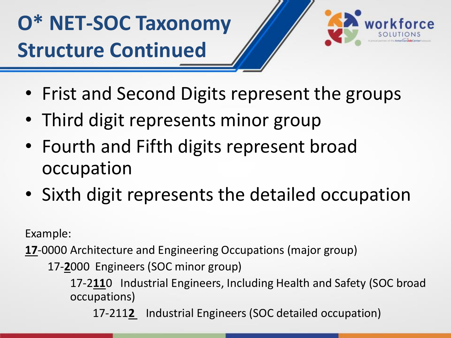### **O\* NET-SOC Taxonomy Structure Continued**



- Frist and Second Digits represent the groups
- Third digit represents minor group
- Fourth and Fifth digits represent broad occupation
- Sixth digit represents the detailed occupation

Example:

**17**-0000 Architecture and Engineering Occupations (major group)

17-**2**000 Engineers (SOC minor group)

17-2**11**0 Industrial Engineers, Including Health and Safety (SOC broad occupations)

17-211**2** Industrial Engineers (SOC detailed occupation)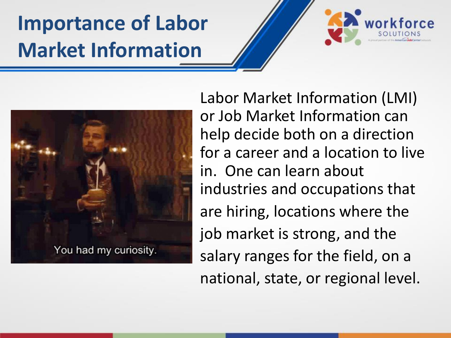### **Importance of Labor Market Information**



Labor Market Information (LMI) or Job Market Information can help decide both on a direction for a career and a location to live in. One can learn about industries and occupations that are hiring, locations where the job market is strong, and the salary ranges for the field, on a national, state, or regional level.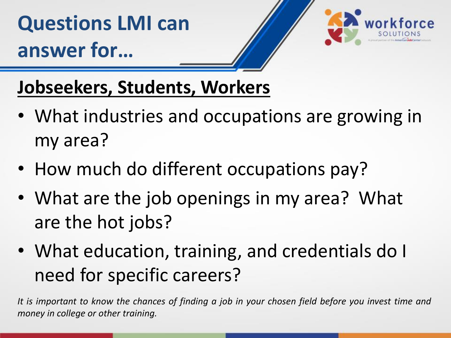

#### **Jobseekers, Students, Workers**

- What industries and occupations are growing in my area?
- How much do different occupations pay?
- What are the job openings in my area? What are the hot jobs?
- What education, training, and credentials do I need for specific careers?

It is important to know the chances of finding a job in your chosen field before you invest time and *money in college or other training.*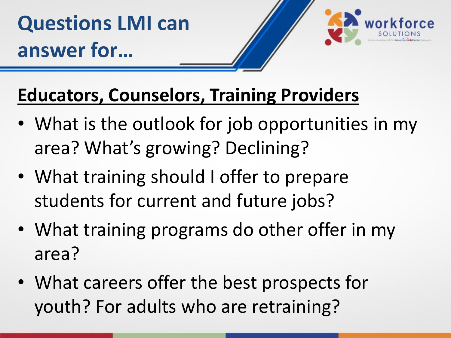

#### **Educators, Counselors, Training Providers**

- What is the outlook for job opportunities in my area? What's growing? Declining?
- What training should I offer to prepare students for current and future jobs?
- What training programs do other offer in my area?
- What careers offer the best prospects for youth? For adults who are retraining?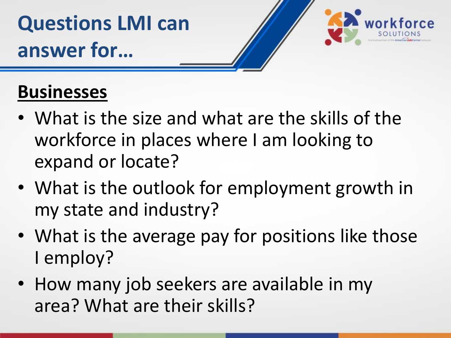

#### **Businesses**

- What is the size and what are the skills of the workforce in places where I am looking to expand or locate?
- What is the outlook for employment growth in my state and industry?
- What is the average pay for positions like those I employ?
- How many job seekers are available in my area? What are their skills?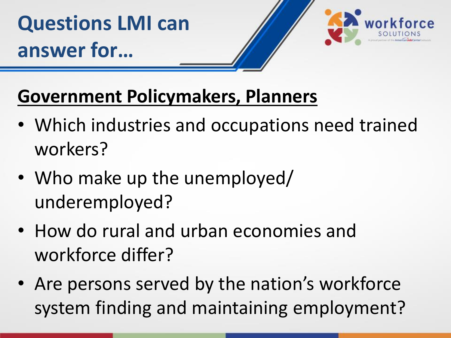

### **Government Policymakers, Planners**

- Which industries and occupations need trained workers?
- Who make up the unemployed/ underemployed?
- How do rural and urban economies and workforce differ?
- Are persons served by the nation's workforce system finding and maintaining employment?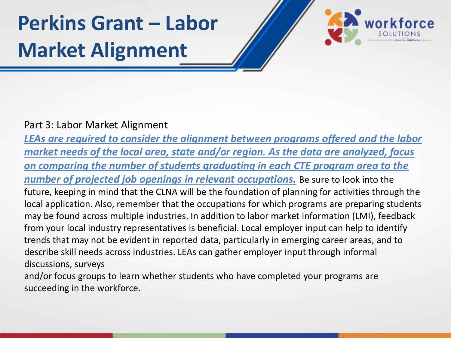### **Perkins Grant – Labor Market Alignment**



#### Part 3: Labor Market Alignment

*LEAs are required to consider the alignment between programs offered and the labor market needs of the local area, state and/or region. As the data are analyzed, focus on comparing the number of students graduating in each CTE program area to the number of projected job openings in relevant occupations.* Be sure to look into the future, keeping in mind that the CLNA will be the foundation of planning for activities through the local application. Also, remember that the occupations for which programs are preparing students may be found across multiple industries. In addition to labor market information (LMI), feedback from your local industry representatives is beneficial. Local employer input can help to identify trends that may not be evident in reported data, particularly in emerging career areas, and to describe skill needs across industries. LEAs can gather employer input through informal discussions, surveys

and/or focus groups to learn whether students who have completed your programs are succeeding in the workforce.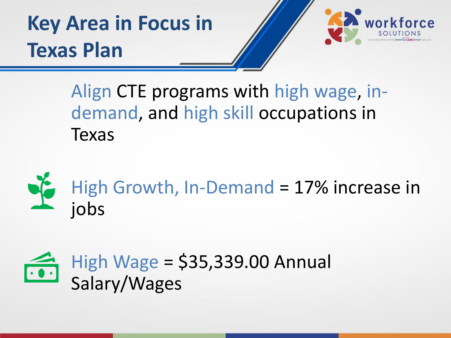**Key Area in Focus in Texas Plan**



Align CTE programs with high wage, indemand, and high skill occupations in Texas



High Growth, In-Demand = 17% increase in jobs

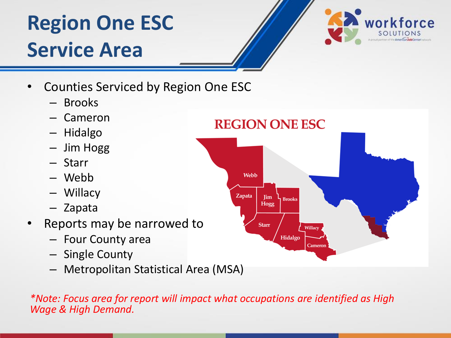### **Region One ESC Service Area**



- Counties Serviced by Region One ESC
	- Brooks
	- Cameron
	- Hidalgo
	- Jim Hogg
	- Starr
	- Webb
	- Willacy
	- Zapata
- Reports may be narrowed to
	- Four County area
	- Single County
	- Metropolitan Statistical Area (MSA)

*\*Note: Focus area for report will impact what occupations are identified as High Wage & High Demand.*

#### **REGION ONE ESC**

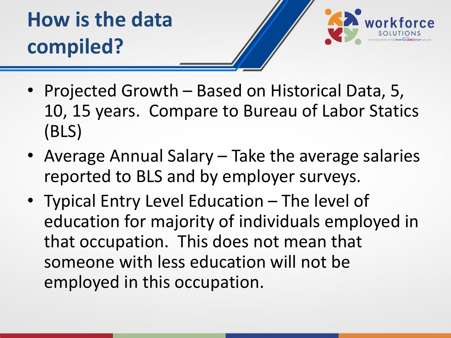**How is the data compiled?**

- 
- Projected Growth Based on Historical Data, 5, 10, 15 years. Compare to Bureau of Labor Statics (BLS)
- Average Annual Salary Take the average salaries reported to BLS and by employer surveys.
- Typical Entry Level Education The level of education for majority of individuals employed in that occupation. This does not mean that someone with less education will not be employed in this occupation.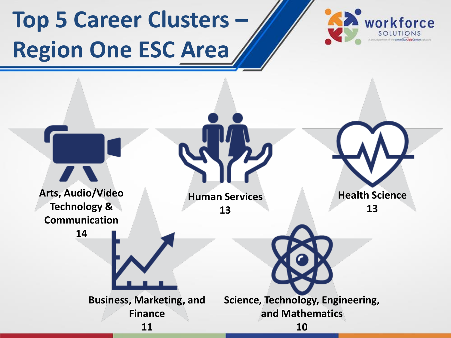# **Top 5 Career Clusters – Region One ESC Area**